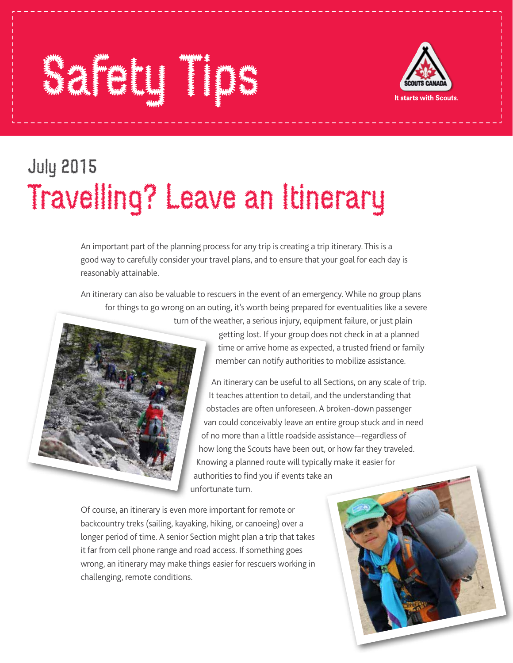## Safety Tips



## July 2015 Travelling? Leave an Itinerary

An important part of the planning process for any trip is creating a trip itinerary. This is a good way to carefully consider your travel plans, and to ensure that your goal for each day is reasonably attainable.

An itinerary can also be valuable to rescuers in the event of an emergency. While no group plans for things to go wrong on an outing, it's worth being prepared for eventualities like a severe turn of the weather, a serious injury, equipment failure, or just plain



getting lost. If your group does not check in at a planned time or arrive home as expected, a trusted friend or family member can notify authorities to mobilize assistance.

An itinerary can be useful to all Sections, on any scale of trip. It teaches attention to detail, and the understanding that obstacles are often unforeseen. A broken-down passenger van could conceivably leave an entire group stuck and in need of no more than a little roadside assistance—regardless of how long the Scouts have been out, or how far they traveled. Knowing a planned route will typically make it easier for authorities to find you if events take an unfortunate turn.

Of course, an itinerary is even more important for remote or backcountry treks (sailing, kayaking, hiking, or canoeing) over a longer period of time. A senior Section might plan a trip that takes it far from cell phone range and road access. If something goes wrong, an itinerary may make things easier for rescuers working in challenging, remote conditions.